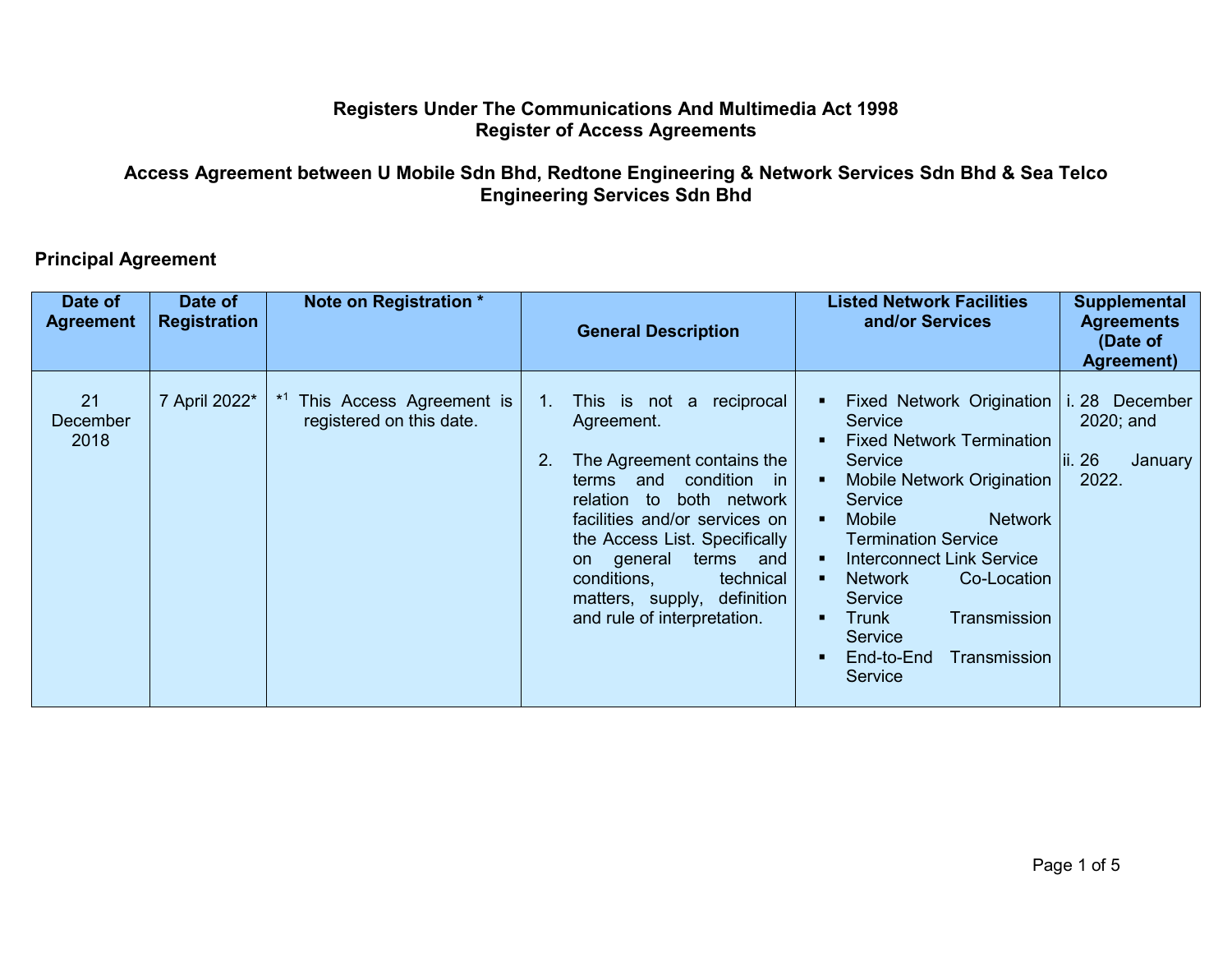## **Registers Under The Communications And Multimedia Act 1998 Register of Access Agreements**

## **Access Agreement between U Mobile Sdn Bhd, Redtone Engineering & Network Services Sdn Bhd & Sea Telco Engineering Services Sdn Bhd**

## **Principal Agreement**

| Date of<br><b>Agreement</b> | Date of<br><b>Registration</b> | Note on Registration *                               | <b>General Description</b>                                                                                                                                                                                                                                                                                                                            | <b>Listed Network Facilities</b><br>and/or Services                                                                                                                                                                                                                                                                                                                                                                        | <b>Supplemental</b><br><b>Agreements</b><br>(Date of<br><b>Agreement</b> ) |
|-----------------------------|--------------------------------|------------------------------------------------------|-------------------------------------------------------------------------------------------------------------------------------------------------------------------------------------------------------------------------------------------------------------------------------------------------------------------------------------------------------|----------------------------------------------------------------------------------------------------------------------------------------------------------------------------------------------------------------------------------------------------------------------------------------------------------------------------------------------------------------------------------------------------------------------------|----------------------------------------------------------------------------|
| 21<br>December<br>2018      | 7 April 2022*                  | This Access Agreement is<br>registered on this date. | reciprocal<br>$1_{\cdot}$<br>This is not a<br>Agreement.<br>2.<br>The Agreement contains the<br>condition in<br>and<br>terms<br>both network<br>relation to<br>facilities and/or services on<br>the Access List. Specifically<br>terms<br>on general<br>and<br>conditions,<br>technical<br>matters, supply, definition<br>and rule of interpretation. | <b>Fixed Network Origination</b><br>Service<br><b>Fixed Network Termination</b><br>Service<br>Mobile Network Origination<br>- 8<br><b>Service</b><br>Mobile<br><b>Network</b><br>$\blacksquare$<br><b>Termination Service</b><br>Interconnect Link Service<br>$\blacksquare$<br><b>Network</b><br>Co-Location<br><b>Service</b><br>Transmission<br>Trunk<br><b>Service</b><br>End-to-End<br>Transmission<br><b>Service</b> | i. 28<br>December<br>2020; and<br>ii. 26<br>January<br>2022.               |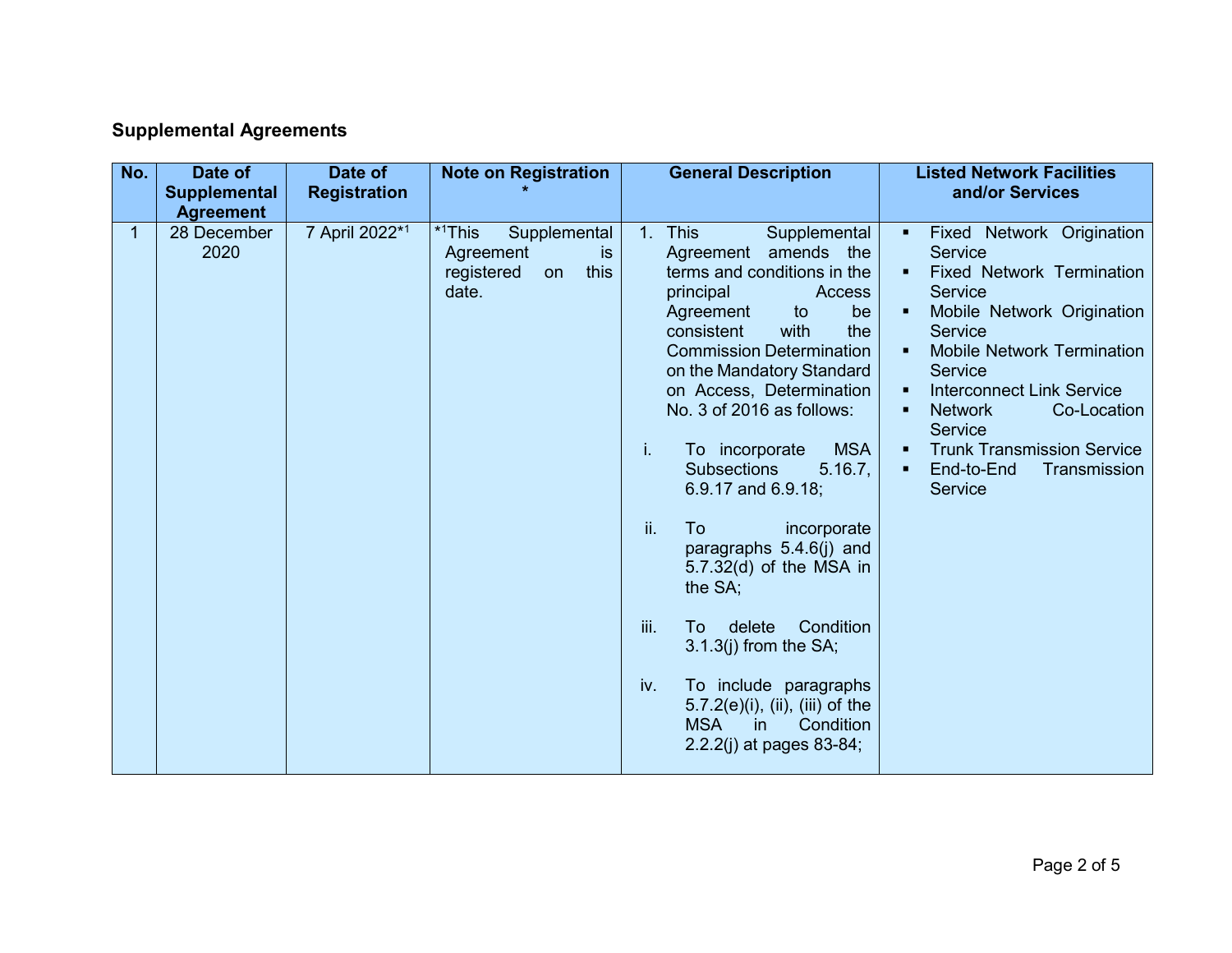## **Supplemental Agreements**

| No.          | Date of<br><b>Supplemental</b><br><b>Agreement</b> | Date of<br><b>Registration</b> | <b>Note on Registration</b>                                                                 | <b>General Description</b>                                                                                                                                                                                                                                                                                                                                                                                                                                                                                                                                                                                                                                                                          | <b>Listed Network Facilities</b><br>and/or Services                                                                                                                                                                                                                                                                                                                                      |
|--------------|----------------------------------------------------|--------------------------------|---------------------------------------------------------------------------------------------|-----------------------------------------------------------------------------------------------------------------------------------------------------------------------------------------------------------------------------------------------------------------------------------------------------------------------------------------------------------------------------------------------------------------------------------------------------------------------------------------------------------------------------------------------------------------------------------------------------------------------------------------------------------------------------------------------------|------------------------------------------------------------------------------------------------------------------------------------------------------------------------------------------------------------------------------------------------------------------------------------------------------------------------------------------------------------------------------------------|
| $\mathbf{1}$ | 28 December<br>2020                                | 7 April 2022*1                 | * <sup>1</sup> This<br>Supplemental<br>is<br>Agreement<br>this<br>registered<br>on<br>date. | <b>This</b><br>1.<br>Supplemental<br>Agreement amends the<br>terms and conditions in the<br>principal<br>Access<br>be<br>Agreement<br>to<br>consistent<br>with<br>the<br><b>Commission Determination</b><br>on the Mandatory Standard<br>on Access, Determination<br>No. 3 of 2016 as follows:<br><b>MSA</b><br>i.<br>To incorporate<br><b>Subsections</b><br>5.16.7,<br>$6.9.17$ and $6.9.18$ ;<br>ii.<br>To<br>incorporate<br>paragraphs 5.4.6(j) and<br>$5.7.32(d)$ of the MSA in<br>the SA;<br>iii.<br>Condition<br>To<br>delete<br>$3.1.3(j)$ from the SA;<br>iv.<br>To include paragraphs<br>$5.7.2(e)(i)$ , (ii), (iii) of the<br><b>MSA</b><br>Condition<br>in.<br>2.2.2(j) at pages 83-84; | Fixed Network Origination<br>$\blacksquare$<br>Service<br><b>Fixed Network Termination</b><br><b>Service</b><br>Mobile Network Origination<br><b>Service</b><br><b>Mobile Network Termination</b><br><b>Service</b><br><b>Interconnect Link Service</b><br><b>Network</b><br>Co-Location<br><b>Service</b><br><b>Trunk Transmission Service</b><br>End-to-End<br>Transmission<br>Service |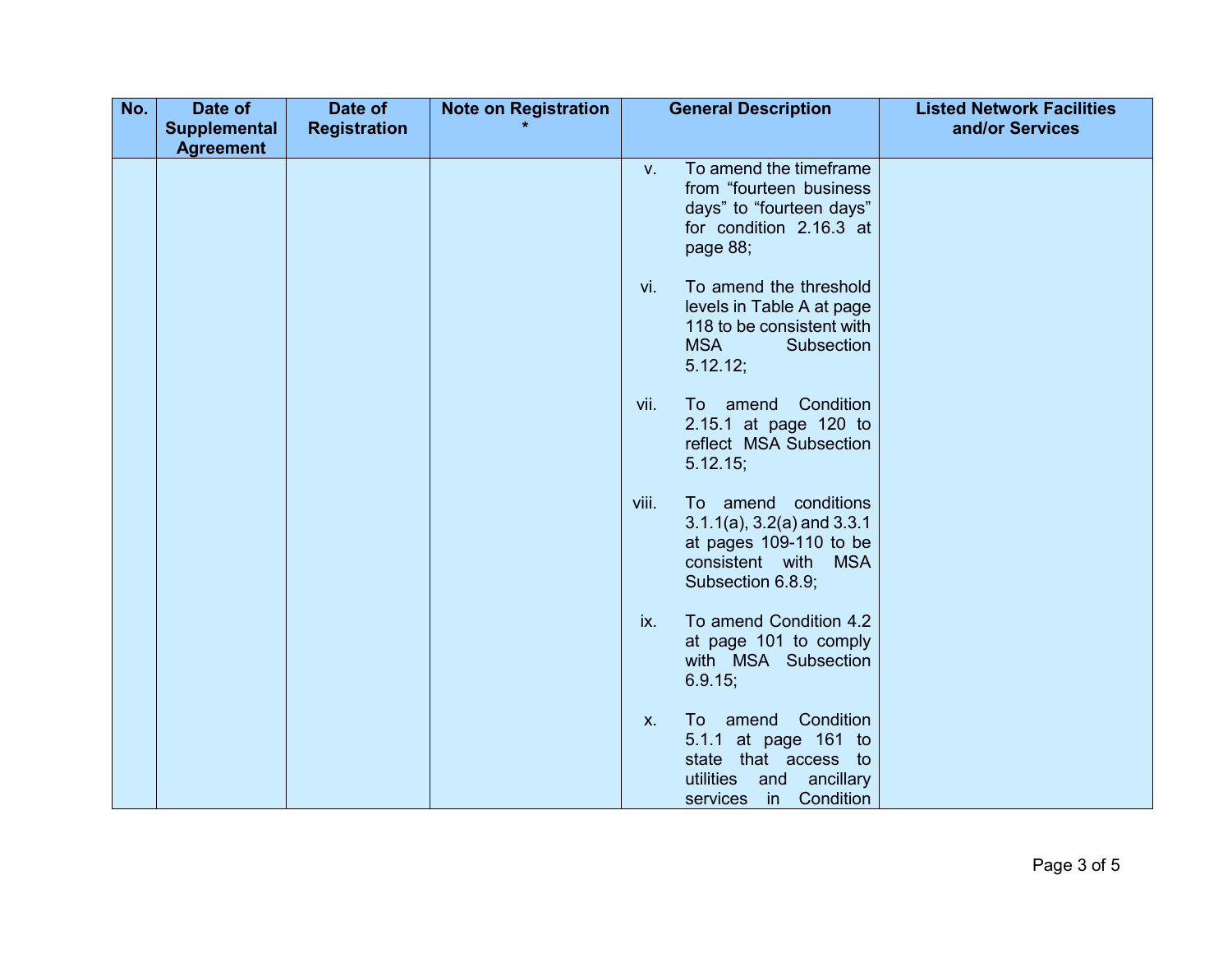| No. | Date of             | Date of             | <b>Note on Registration</b> |              | <b>General Description</b>                                                                                                               | <b>Listed Network Facilities</b> |
|-----|---------------------|---------------------|-----------------------------|--------------|------------------------------------------------------------------------------------------------------------------------------------------|----------------------------------|
|     | <b>Supplemental</b> | <b>Registration</b> |                             |              |                                                                                                                                          | and/or Services                  |
|     | <b>Agreement</b>    |                     |                             | $V_{\rm{H}}$ | To amend the timeframe<br>from "fourteen business<br>days" to "fourteen days"<br>for condition 2.16.3 at<br>page 88;                     |                                  |
|     |                     |                     |                             | vi.          | To amend the threshold<br>levels in Table A at page<br>118 to be consistent with<br><b>MSA</b><br>Subsection<br>5.12.12;                 |                                  |
|     |                     |                     |                             | vii.         | Condition<br>To amend<br>2.15.1 at page 120 to<br>reflect MSA Subsection<br>5.12.15;                                                     |                                  |
|     |                     |                     |                             | viii.        | To amend conditions<br>$3.1.1(a)$ , $3.2(a)$ and $3.3.1$<br>at pages 109-110 to be<br>consistent with<br><b>MSA</b><br>Subsection 6.8.9; |                                  |
|     |                     |                     |                             | ix.          | To amend Condition 4.2<br>at page 101 to comply<br>with MSA Subsection<br>6.9.15;                                                        |                                  |
|     |                     |                     |                             | <b>X.</b>    | Condition<br>To amend<br>5.1.1 at page 161 to<br>state that access to<br>utilities<br>and<br>ancillary<br>Condition<br>in<br>services    |                                  |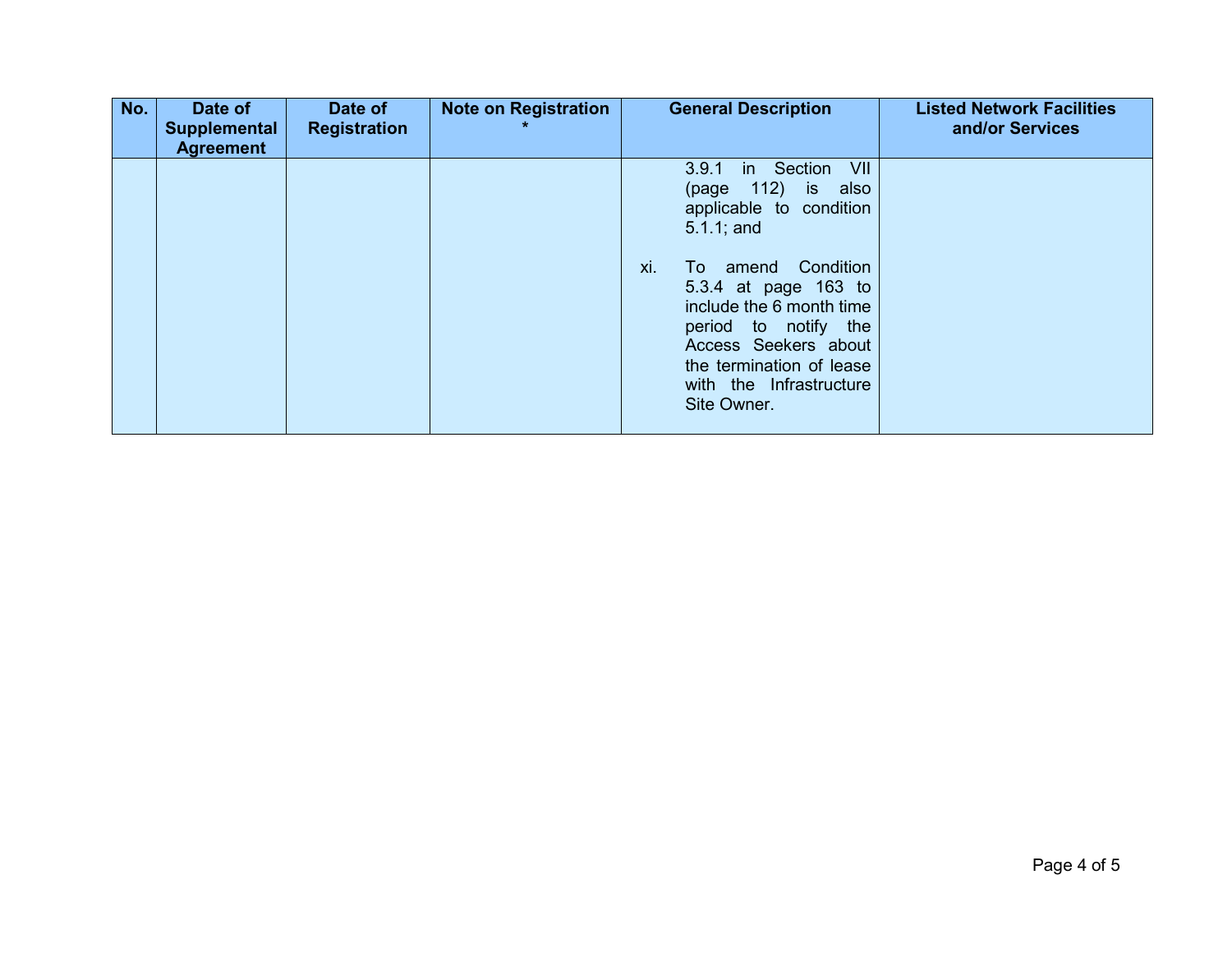| No. | Date of<br>Supplemental<br><b>Agreement</b> | Date of<br><b>Registration</b> | <b>Note on Registration</b> | <b>General Description</b>                                                                                                                                                                                                                                                                                     | <b>Listed Network Facilities</b><br>and/or Services |
|-----|---------------------------------------------|--------------------------------|-----------------------------|----------------------------------------------------------------------------------------------------------------------------------------------------------------------------------------------------------------------------------------------------------------------------------------------------------------|-----------------------------------------------------|
|     |                                             |                                |                             | in Section<br>VII<br>3.9.1<br>$(page 112)$ is<br>also<br>applicable to condition<br>$5.1.1$ ; and<br>xi.<br>Condition<br>amend<br>To<br>5.3.4 at page 163 to<br>include the 6 month time<br>period to notify the<br>Access Seekers about<br>the termination of lease<br>with the Infrastructure<br>Site Owner. |                                                     |